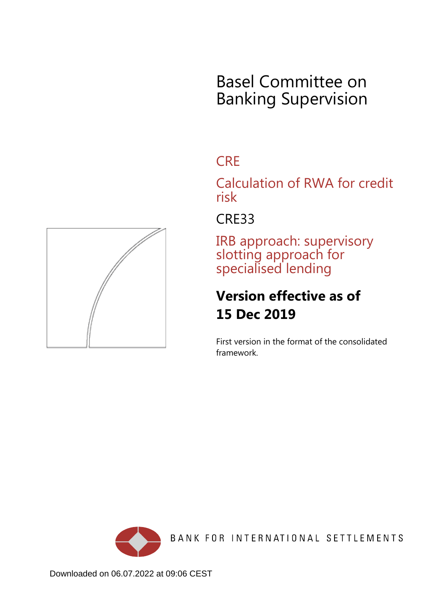# Basel Committee on Banking Supervision

## **CRE**

Calculation of RWA for credit risk

### CRE33

IRB approach: supervisory slotting approach for specialised lending

## **Version effective as of 15 Dec 2019**

First version in the format of the consolidated framework.



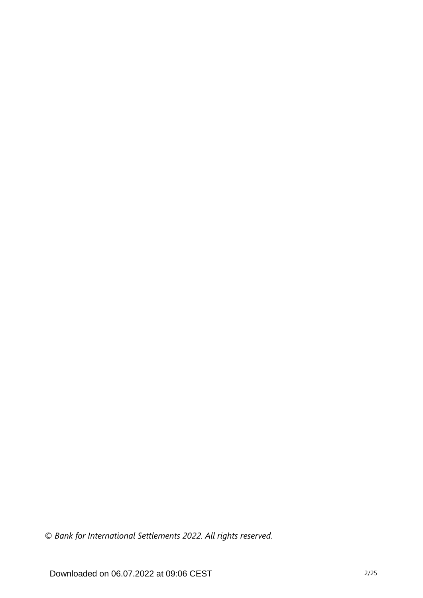*© Bank for International Settlements 2022. All rights reserved.*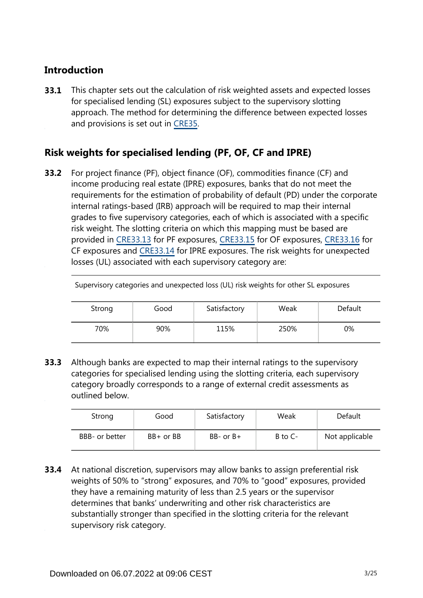#### **Introduction**

This chapter sets out the calculation of risk weighted assets and expected losses for specialised lending (SL) exposures subject to the supervisory slotting approach. The method for determining the difference between expected losses and provisions is set out in [CRE35](https://www.bis.org/basel_framework/chapter/CRE/35.htm?tldate=20220114&inforce=20191215&published=20191215). **33.1**

### **Risk weights for specialised lending (PF, OF, CF and IPRE)**

For project finance (PF), object finance (OF), commodities finance (CF) and income producing real estate (IPRE) exposures, banks that do not meet the requirements for the estimation of probability of default (PD) under the corporate internal ratings-based (IRB) approach will be required to map their internal grades to five supervisory categories, each of which is associated with a specific risk weight. The slotting criteria on which this mapping must be based are provided in [CRE33.13](https://www.bis.org/basel_framework/chapter/CRE/33.htm?tldate=20220114&inforce=20191215&published=20191215#paragraph_CRE_33_20191215_33_13) for PF exposures, [CRE33.15](https://www.bis.org/basel_framework/chapter/CRE/33.htm?tldate=20220114&inforce=20191215&published=20191215#paragraph_CRE_33_20191215_33_15) for OF exposures, [CRE33.16](https://www.bis.org/basel_framework/chapter/CRE/33.htm?tldate=20220114&inforce=20191215&published=20191215#paragraph_CRE_33_20191215_33_16) for CF exposures and [CRE33.14](https://www.bis.org/basel_framework/chapter/CRE/33.htm?tldate=20220114&inforce=20191215&published=20191215#paragraph_CRE_33_20191215_33_14) for IPRE exposures. The risk weights for unexpected losses (UL) associated with each supervisory category are: **33.2**

Supervisory categories and unexpected loss (UL) risk weights for other SL exposures

| $\sim$<br>_ |      |              | -    |         |
|-------------|------|--------------|------|---------|
| Strong      | Good | Satisfactory | Weak | Default |
| 70%         | 90%  | 115%         | 250% | 0%      |

Although banks are expected to map their internal ratings to the supervisory categories for specialised lending using the slotting criteria, each supervisory category broadly corresponds to a range of external credit assessments as outlined below. **33.3**

| Strong         | Good           | Satisfactory  | Weak        | Default        |
|----------------|----------------|---------------|-------------|----------------|
| BBB- or better | $BB +$ or $BB$ | $BB-$ or $B+$ | $B$ to $C-$ | Not applicable |

At national discretion, supervisors may allow banks to assign preferential risk weights of 50% to "strong" exposures, and 70% to "good" exposures, provided they have a remaining maturity of less than 2.5 years or the supervisor determines that banks' underwriting and other risk characteristics are substantially stronger than specified in the slotting criteria for the relevant supervisory risk category. **33.4**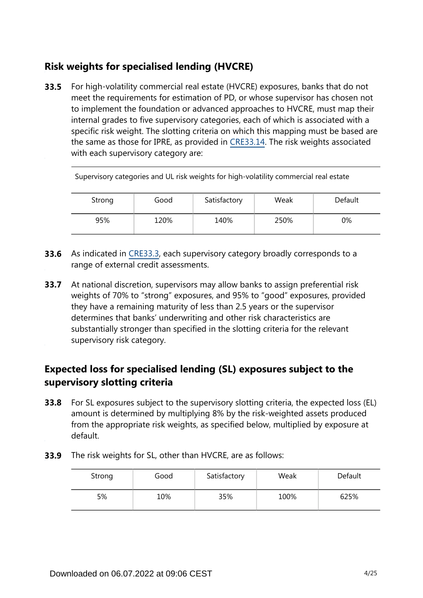### **Risk weights for specialised lending (HVCRE)**

**33.5** For high-volatility commercial real estate (HVCRE) exposures, banks that do not meet the requirements for estimation of PD, or whose supervisor has chosen not to implement the foundation or advanced approaches to HVCRE, must map their internal grades to five supervisory categories, each of which is associated with a specific risk weight. The slotting criteria on which this mapping must be based are the same as those for IPRE, as provided in [CRE33.14.](https://www.bis.org/basel_framework/chapter/CRE/33.htm?tldate=20220114&inforce=20191215&published=20191215#paragraph_CRE_33_20191215_33_14) The risk weights associated with each supervisory category are:

| Strong | Good | Satisfactory | Weak | Default |
|--------|------|--------------|------|---------|
| 95%    | 120% | 140%         | 250% | 0%      |

Supervisory categories and UL risk weights for high-volatility commercial real estate

- **33.6** As indicated in [CRE33.3,](https://www.bis.org/basel_framework/chapter/CRE/33.htm?tldate=20220114&inforce=20191215&published=20191215#paragraph_CRE_33_20191215_33_3) each supervisory category broadly corresponds to a range of external credit assessments.
- At national discretion, supervisors may allow banks to assign preferential risk weights of 70% to "strong" exposures, and 95% to "good" exposures, provided they have a remaining maturity of less than 2.5 years or the supervisor determines that banks' underwriting and other risk characteristics are substantially stronger than specified in the slotting criteria for the relevant supervisory risk category. **33.7**

### **Expected loss for specialised lending (SL) exposures subject to the supervisory slotting criteria**

For SL exposures subject to the supervisory slotting criteria, the expected loss (EL) amount is determined by multiplying 8% by the risk-weighted assets produced from the appropriate risk weights, as specified below, multiplied by exposure at default. **33.8**

|  | <b>33.9</b> The risk weights for SL, other than HVCRE, are as follows: |  |  |  |
|--|------------------------------------------------------------------------|--|--|--|
|--|------------------------------------------------------------------------|--|--|--|

| Strong | Good | Satisfactory | Weak | Default |
|--------|------|--------------|------|---------|
| 5%     | 10%  | 35%          | 100% | 625%    |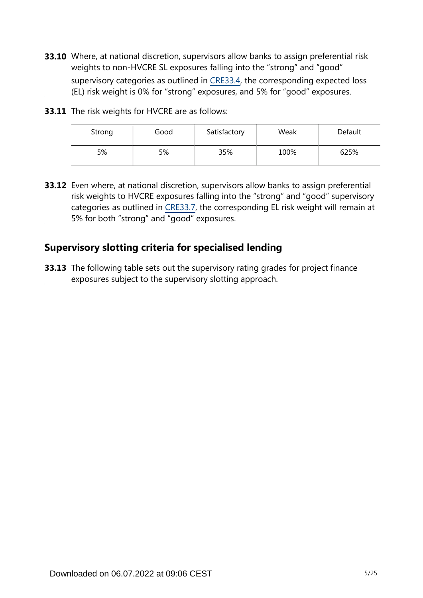**33.10** Where, at national discretion, supervisors allow banks to assign preferential risk weights to non-HVCRE SL exposures falling into the "strong" and "good" supervisory categories as outlined in [CRE33.4](https://www.bis.org/basel_framework/chapter/CRE/33.htm?tldate=20220114&inforce=20191215&published=20191215#paragraph_CRE_33_20191215_33_4), the corresponding expected loss (EL) risk weight is 0% for "strong" exposures, and 5% for "good" exposures.

| <b>33.11</b> The risk weights for HVCRE are as follows: |
|---------------------------------------------------------|
|                                                         |
|                                                         |

| Strong | Good | Satisfactory | Weak | Default |
|--------|------|--------------|------|---------|
| 5%     | 5%   | 35%          | 100% | 625%    |

**33.12** Even where, at national discretion, supervisors allow banks to assign preferential risk weights to HVCRE exposures falling into the "strong" and "good" supervisory categories as outlined in [CRE33.7](https://www.bis.org/basel_framework/chapter/CRE/33.htm?tldate=20220114&inforce=20191215&published=20191215#paragraph_CRE_33_20191215_33_7), the corresponding EL risk weight will remain at 5% for both "strong" and "good" exposures.

#### **Supervisory slotting criteria for specialised lending**

**33.13** The following table sets out the supervisory rating grades for project finance exposures subject to the supervisory slotting approach.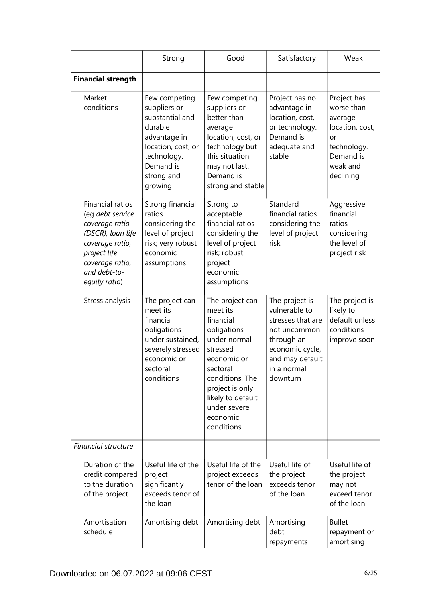|                                                                                                                                                                    | Strong                                                                                                                                                 | Good                                                                                                                                                                                                                | Satisfactory                                                                                                                                        | Weak                                                                                                               |
|--------------------------------------------------------------------------------------------------------------------------------------------------------------------|--------------------------------------------------------------------------------------------------------------------------------------------------------|---------------------------------------------------------------------------------------------------------------------------------------------------------------------------------------------------------------------|-----------------------------------------------------------------------------------------------------------------------------------------------------|--------------------------------------------------------------------------------------------------------------------|
| <b>Financial strength</b>                                                                                                                                          |                                                                                                                                                        |                                                                                                                                                                                                                     |                                                                                                                                                     |                                                                                                                    |
| Market<br>conditions                                                                                                                                               | Few competing<br>suppliers or<br>substantial and<br>durable<br>advantage in<br>location, cost, or<br>technology.<br>Demand is<br>strong and<br>growing | Few competing<br>suppliers or<br>better than<br>average<br>location, cost, or<br>technology but<br>this situation<br>may not last.<br>Demand is<br>strong and stable                                                | Project has no<br>advantage in<br>location, cost,<br>or technology.<br>Demand is<br>adequate and<br>stable                                          | Project has<br>worse than<br>average<br>location, cost,<br>or<br>technology.<br>Demand is<br>weak and<br>declining |
| Financial ratios<br>(eg debt service<br>coverage ratio<br>(DSCR), loan life<br>coverage ratio,<br>project life<br>coverage ratio,<br>and debt-to-<br>equity ratio) | Strong financial<br>ratios<br>considering the<br>level of project<br>risk; very robust<br>economic<br>assumptions                                      | Strong to<br>acceptable<br>financial ratios<br>considering the<br>level of project<br>risk; robust<br>project<br>economic<br>assumptions                                                                            | Standard<br>financial ratios<br>considering the<br>level of project<br>risk                                                                         | Aggressive<br>financial<br>ratios<br>considering<br>the level of<br>project risk                                   |
| Stress analysis                                                                                                                                                    | The project can<br>meet its<br>financial<br>obligations<br>under sustained,<br>severely stressed<br>economic or<br>sectoral<br>conditions              | The project can<br>meet its<br>financial<br>obligations<br>under normal<br>stressed<br>economic or<br>sectoral<br>conditions. The<br>project is only<br>likely to default<br>under severe<br>economic<br>conditions | The project is<br>vulnerable to<br>stresses that are<br>not uncommon<br>through an<br>economic cycle,<br>and may default<br>in a normal<br>downturn | The project is<br>likely to<br>default unless<br>conditions<br>improve soon                                        |
| Financial structure                                                                                                                                                |                                                                                                                                                        |                                                                                                                                                                                                                     |                                                                                                                                                     |                                                                                                                    |
| Duration of the<br>credit compared<br>to the duration<br>of the project                                                                                            | Useful life of the<br>project<br>significantly<br>exceeds tenor of<br>the loan                                                                         | Useful life of the<br>project exceeds<br>tenor of the loan                                                                                                                                                          | Useful life of<br>the project<br>exceeds tenor<br>of the loan                                                                                       | Useful life of<br>the project<br>may not<br>exceed tenor<br>of the loan                                            |
| Amortisation<br>schedule                                                                                                                                           | Amortising debt                                                                                                                                        | Amortising debt                                                                                                                                                                                                     | Amortising<br>debt<br>repayments                                                                                                                    | <b>Bullet</b><br>repayment or<br>amortising                                                                        |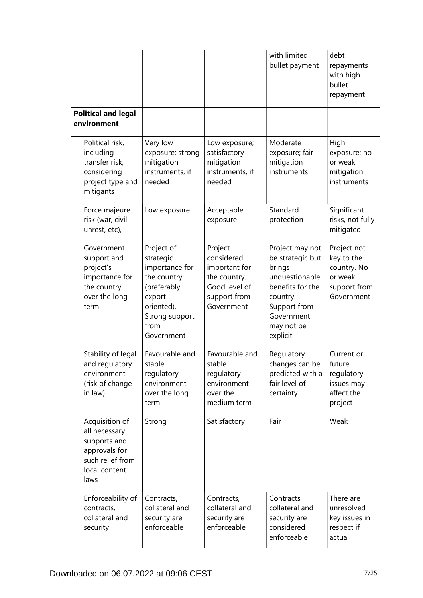|                                                                                                               |                                                                                                                                          |                                                                                                       | with limited<br>bullet payment                                                                                                                          | debt<br>repayments<br>with high<br>bullet<br>repayment                            |
|---------------------------------------------------------------------------------------------------------------|------------------------------------------------------------------------------------------------------------------------------------------|-------------------------------------------------------------------------------------------------------|---------------------------------------------------------------------------------------------------------------------------------------------------------|-----------------------------------------------------------------------------------|
| <b>Political and legal</b><br>environment                                                                     |                                                                                                                                          |                                                                                                       |                                                                                                                                                         |                                                                                   |
| Political risk,<br>including<br>transfer risk,<br>considering<br>project type and<br>mitigants                | Very low<br>exposure; strong<br>mitigation<br>instruments, if<br>needed                                                                  | Low exposure;<br>satisfactory<br>mitigation<br>instruments, if<br>needed                              | Moderate<br>exposure; fair<br>mitigation<br>instruments                                                                                                 | High<br>exposure; no<br>or weak<br>mitigation<br>instruments                      |
| Force majeure<br>risk (war, civil<br>unrest, etc),                                                            | Low exposure                                                                                                                             | Acceptable<br>exposure                                                                                | Standard<br>protection                                                                                                                                  | Significant<br>risks, not fully<br>mitigated                                      |
| Government<br>support and<br>project's<br>importance for<br>the country<br>over the long<br>term              | Project of<br>strategic<br>importance for<br>the country<br>(preferably<br>export-<br>oriented).<br>Strong support<br>from<br>Government | Project<br>considered<br>important for<br>the country.<br>Good level of<br>support from<br>Government | Project may not<br>be strategic but<br>brings<br>unquestionable<br>benefits for the<br>country.<br>Support from<br>Government<br>may not be<br>explicit | Project not<br>key to the<br>country. No<br>or weak<br>support from<br>Government |
| Stability of legal<br>and regulatory<br>environment<br>(risk of change<br>in law)                             | Favourable and<br>stable<br>regulatory<br>environment<br>over the long<br>term                                                           | Favourable and<br>stable<br>regulatory<br>environment<br>over the<br>medium term                      | Regulatory<br>changes can be<br>predicted with a<br>fair level of<br>certainty                                                                          | Current or<br>future<br>regulatory<br>issues may<br>affect the<br>project         |
| Acquisition of<br>all necessary<br>supports and<br>approvals for<br>such relief from<br>local content<br>laws | Strong                                                                                                                                   | Satisfactory                                                                                          | Fair                                                                                                                                                    | Weak                                                                              |
| Enforceability of<br>contracts,<br>collateral and<br>security                                                 | Contracts,<br>collateral and<br>security are<br>enforceable                                                                              | Contracts,<br>collateral and<br>security are<br>enforceable                                           | Contracts,<br>collateral and<br>security are<br>considered<br>enforceable                                                                               | There are<br>unresolved<br>key issues in<br>respect if<br>actual                  |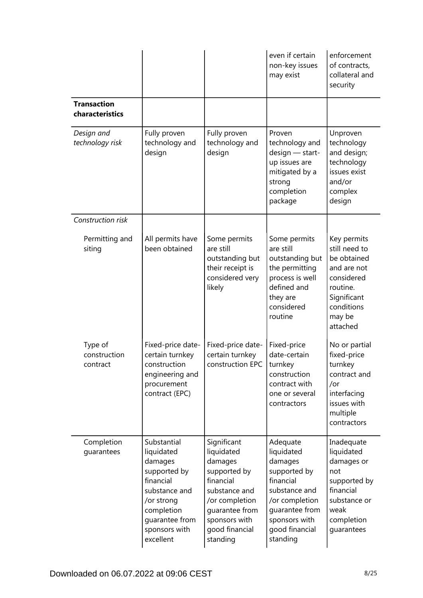|                                       |                                                                                                                                                                |                                                                                                                                                                       | even if certain<br>non-key issues<br>may exist                                                                                                                     | enforcement<br>of contracts,<br>collateral and<br>security                                                                              |
|---------------------------------------|----------------------------------------------------------------------------------------------------------------------------------------------------------------|-----------------------------------------------------------------------------------------------------------------------------------------------------------------------|--------------------------------------------------------------------------------------------------------------------------------------------------------------------|-----------------------------------------------------------------------------------------------------------------------------------------|
| <b>Transaction</b><br>characteristics |                                                                                                                                                                |                                                                                                                                                                       |                                                                                                                                                                    |                                                                                                                                         |
| Design and<br>technology risk         | Fully proven<br>technology and<br>design                                                                                                                       | Fully proven<br>technology and<br>design                                                                                                                              | Proven<br>technology and<br>design - start-<br>up issues are<br>mitigated by a<br>strong<br>completion<br>package                                                  | Unproven<br>technology<br>and design;<br>technology<br>issues exist<br>and/or<br>complex<br>design                                      |
| Construction risk                     |                                                                                                                                                                |                                                                                                                                                                       |                                                                                                                                                                    |                                                                                                                                         |
| Permitting and<br>siting              | All permits have<br>been obtained                                                                                                                              | Some permits<br>are still<br>outstanding but<br>their receipt is<br>considered very<br>likely                                                                         | Some permits<br>are still<br>outstanding but<br>the permitting<br>process is well<br>defined and<br>they are<br>considered<br>routine                              | Key permits<br>still need to<br>be obtained<br>and are not<br>considered<br>routine.<br>Significant<br>conditions<br>may be<br>attached |
| Type of<br>construction<br>contract   | Fixed-price date-<br>certain turnkey<br>construction<br>engineering and<br>procurement<br>contract (EPC)                                                       | Fixed-price date-<br>certain turnkey<br>construction EPC                                                                                                              | Fixed-price<br>date-certain<br>turnkey<br>construction<br>contract with<br>one or several<br>contractors                                                           | No or partial<br>fixed-price<br>turnkey<br>contract and<br>/or<br>interfacing<br>issues with<br>multiple<br>contractors                 |
| Completion<br>guarantees              | Substantial<br>liquidated<br>damages<br>supported by<br>financial<br>substance and<br>/or strong<br>completion<br>guarantee from<br>sponsors with<br>excellent | Significant<br>liquidated<br>damages<br>supported by<br>financial<br>substance and<br>/or completion<br>quarantee from<br>sponsors with<br>good financial<br>standing | Adequate<br>liquidated<br>damages<br>supported by<br>financial<br>substance and<br>/or completion<br>guarantee from<br>sponsors with<br>good financial<br>standing | Inadequate<br>liquidated<br>damages or<br>not<br>supported by<br>financial<br>substance or<br>weak<br>completion<br>guarantees          |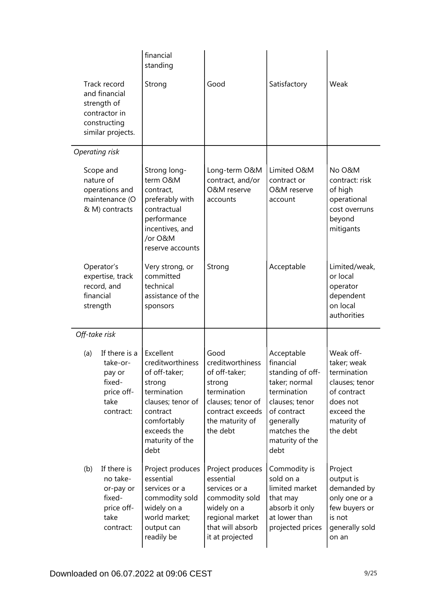|                                                                                                    | financial<br>standing                                                                                                                                             |                                                                                                                                            |                                                                                                                                                                     |                                                                                                                               |
|----------------------------------------------------------------------------------------------------|-------------------------------------------------------------------------------------------------------------------------------------------------------------------|--------------------------------------------------------------------------------------------------------------------------------------------|---------------------------------------------------------------------------------------------------------------------------------------------------------------------|-------------------------------------------------------------------------------------------------------------------------------|
| Track record<br>and financial<br>strength of<br>contractor in<br>constructing<br>similar projects. | Strong                                                                                                                                                            | Good                                                                                                                                       | Satisfactory                                                                                                                                                        | Weak                                                                                                                          |
| Operating risk                                                                                     |                                                                                                                                                                   |                                                                                                                                            |                                                                                                                                                                     |                                                                                                                               |
| Scope and<br>nature of<br>operations and<br>maintenance (O<br>& M) contracts                       | Strong long-<br>term O&M<br>contract,<br>preferably with<br>contractual<br>performance<br>incentives, and<br>/or O&M<br>reserve accounts                          | Long-term O&M<br>contract, and/or<br>O&M reserve<br>accounts                                                                               | Limited O&M<br>contract or<br>O&M reserve<br>account                                                                                                                | No O&M<br>contract: risk<br>of high<br>operational<br>cost overruns<br>beyond<br>mitigants                                    |
| Operator's<br>expertise, track<br>record, and<br>financial<br>strength                             | Very strong, or<br>committed<br>technical<br>assistance of the<br>sponsors                                                                                        | Strong                                                                                                                                     | Acceptable                                                                                                                                                          | Limited/weak,<br>or local<br>operator<br>dependent<br>on local<br>authorities                                                 |
| Off-take risk                                                                                      |                                                                                                                                                                   |                                                                                                                                            |                                                                                                                                                                     |                                                                                                                               |
| If there is a<br>(a)<br>take-or-<br>pay or<br>fixed-<br>price off-<br>take<br>contract:            | Excellent<br>creditworthiness<br>of off-taker;<br>strong<br>termination<br>clauses; tenor of<br>contract<br>comfortably<br>exceeds the<br>maturity of the<br>debt | Good<br>creditworthiness<br>of off-taker;<br>strong<br>termination<br>clauses; tenor of<br>contract exceeds<br>the maturity of<br>the debt | Acceptable<br>financial<br>standing of off-<br>taker; normal<br>termination<br>clauses; tenor<br>of contract<br>generally<br>matches the<br>maturity of the<br>debt | Weak off-<br>taker; weak<br>termination<br>clauses; tenor<br>of contract<br>does not<br>exceed the<br>maturity of<br>the debt |
| If there is<br>(b)<br>no take-<br>or-pay or<br>fixed-<br>price off-<br>take<br>contract:           | Project produces<br>essential<br>services or a<br>commodity sold<br>widely on a<br>world market;<br>output can<br>readily be                                      | Project produces<br>essential<br>services or a<br>commodity sold<br>widely on a<br>regional market<br>that will absorb<br>it at projected  | Commodity is<br>sold on a<br>limited market<br>that may<br>absorb it only<br>at lower than<br>projected prices                                                      | Project<br>output is<br>demanded by<br>only one or a<br>few buyers or<br>is not<br>generally sold<br>on an                    |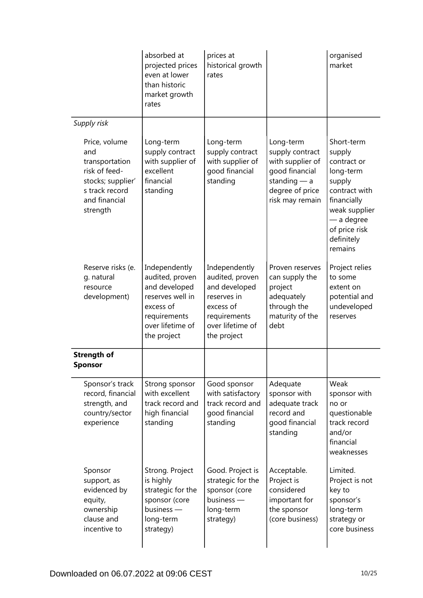|                                                                                                                             | absorbed at<br>projected prices<br>even at lower<br>than historic<br>market growth<br>rates                                           | prices at<br>historical growth<br>rates                                                                                          |                                                                                                                            | organised<br>market                                                                                                                                               |
|-----------------------------------------------------------------------------------------------------------------------------|---------------------------------------------------------------------------------------------------------------------------------------|----------------------------------------------------------------------------------------------------------------------------------|----------------------------------------------------------------------------------------------------------------------------|-------------------------------------------------------------------------------------------------------------------------------------------------------------------|
| Supply risk                                                                                                                 |                                                                                                                                       |                                                                                                                                  |                                                                                                                            |                                                                                                                                                                   |
| Price, volume<br>and<br>transportation<br>risk of feed-<br>stocks; supplier'<br>s track record<br>and financial<br>strength | Long-term<br>supply contract<br>with supplier of<br>excellent<br>financial<br>standing                                                | Long-term<br>supply contract<br>with supplier of<br>good financial<br>standing                                                   | Long-term<br>supply contract<br>with supplier of<br>good financial<br>standing $-$ a<br>degree of price<br>risk may remain | Short-term<br>supply<br>contract or<br>long-term<br>supply<br>contract with<br>financially<br>weak supplier<br>a degree<br>of price risk<br>definitely<br>remains |
| Reserve risks (e.<br>g. natural<br>resource<br>development)                                                                 | Independently<br>audited, proven<br>and developed<br>reserves well in<br>excess of<br>requirements<br>over lifetime of<br>the project | Independently<br>audited, proven<br>and developed<br>reserves in<br>excess of<br>requirements<br>over lifetime of<br>the project | Proven reserves<br>can supply the<br>project<br>adequately<br>through the<br>maturity of the<br>debt                       | Project relies<br>to some<br>extent on<br>potential and<br>undeveloped<br>reserves                                                                                |
| <b>Strength of</b><br><b>Sponsor</b>                                                                                        |                                                                                                                                       |                                                                                                                                  |                                                                                                                            |                                                                                                                                                                   |
| Sponsor's track<br>record, financial<br>strength, and<br>country/sector<br>experience                                       | Strong sponsor<br>with excellent<br>track record and<br>high financial<br>standing                                                    | Good sponsor<br>with satisfactory<br>track record and<br>good financial<br>standing                                              | Adequate<br>sponsor with<br>adequate track<br>record and<br>good financial<br>standing                                     | Weak<br>sponsor with<br>no or<br>questionable<br>track record<br>and/or<br>financial<br>weaknesses                                                                |
| Sponsor<br>support, as<br>evidenced by<br>equity,<br>ownership<br>clause and<br>incentive to                                | Strong. Project<br>is highly<br>strategic for the<br>sponsor (core<br>business -<br>long-term<br>strategy)                            | Good. Project is<br>strategic for the<br>sponsor (core<br>business -<br>long-term<br>strategy)                                   | Acceptable.<br>Project is<br>considered<br>important for<br>the sponsor<br>(core business)                                 | Limited.<br>Project is not<br>key to<br>sponsor's<br>long-term<br>strategy or<br>core business                                                                    |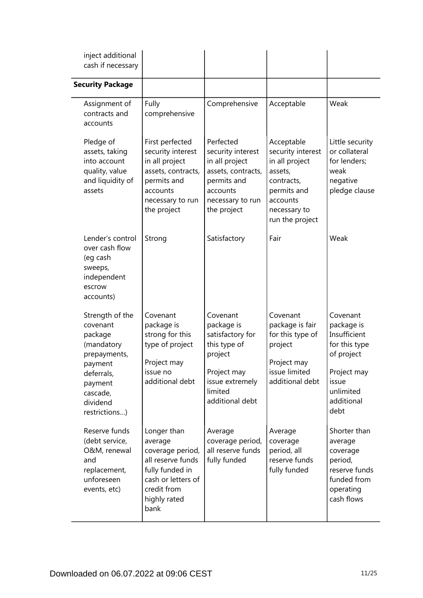| inject additional<br>cash if necessary                                                                                                            |                                                                                                                                                 |                                                                                                                                       |                                                                                                                                          |                                                                                                                                  |
|---------------------------------------------------------------------------------------------------------------------------------------------------|-------------------------------------------------------------------------------------------------------------------------------------------------|---------------------------------------------------------------------------------------------------------------------------------------|------------------------------------------------------------------------------------------------------------------------------------------|----------------------------------------------------------------------------------------------------------------------------------|
| <b>Security Package</b>                                                                                                                           |                                                                                                                                                 |                                                                                                                                       |                                                                                                                                          |                                                                                                                                  |
| Assignment of<br>contracts and<br>accounts                                                                                                        | Fully<br>comprehensive                                                                                                                          | Comprehensive                                                                                                                         | Acceptable                                                                                                                               | Weak                                                                                                                             |
| Pledge of<br>assets, taking<br>into account<br>quality, value<br>and liquidity of<br>assets                                                       | First perfected<br>security interest<br>in all project<br>assets, contracts,<br>permits and<br>accounts<br>necessary to run<br>the project      | Perfected<br>security interest<br>in all project<br>assets, contracts,<br>permits and<br>accounts<br>necessary to run<br>the project  | Acceptable<br>security interest<br>in all project<br>assets,<br>contracts,<br>permits and<br>accounts<br>necessary to<br>run the project | Little security<br>or collateral<br>for lenders;<br>weak<br>negative<br>pledge clause                                            |
| Lender's control<br>over cash flow<br>(eg cash<br>sweeps,<br>independent<br>escrow<br>accounts)                                                   | Strong                                                                                                                                          | Satisfactory                                                                                                                          | Fair                                                                                                                                     | Weak                                                                                                                             |
| Strength of the<br>covenant<br>package<br>(mandatory<br>prepayments,<br>payment<br>deferrals,<br>payment<br>cascade,<br>dividend<br>restrictions) | Covenant<br>package is<br>strong for this<br>type of project<br>Project may<br>issue no<br>additional debt                                      | Covenant<br>package is<br>satisfactory for<br>this type of<br>project<br>Project may<br>issue extremely<br>limited<br>additional debt | Covenant<br>package is fair<br>for this type of<br>project<br>Project may<br>issue limited<br>additional debt                            | Covenant<br>package is<br>Insufficient<br>for this type<br>of project<br>Project may<br>issue<br>unlimited<br>additional<br>debt |
| Reserve funds<br>(debt service,<br>O&M, renewal<br>and<br>replacement,<br>unforeseen<br>events, etc)                                              | Longer than<br>average<br>coverage period,<br>all reserve funds<br>fully funded in<br>cash or letters of<br>credit from<br>highly rated<br>bank | Average<br>coverage period,<br>all reserve funds<br>fully funded                                                                      | Average<br>coverage<br>period, all<br>reserve funds<br>fully funded                                                                      | Shorter than<br>average<br>coverage<br>period,<br>reserve funds<br>funded from<br>operating<br>cash flows                        |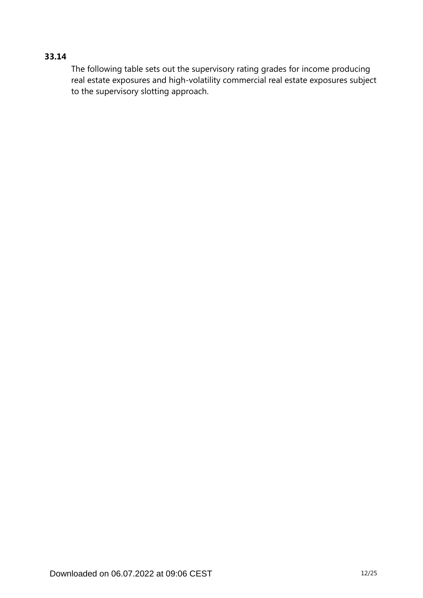#### **33.14**

The following table sets out the supervisory rating grades for income producing real estate exposures and high-volatility commercial real estate exposures subject to the supervisory slotting approach.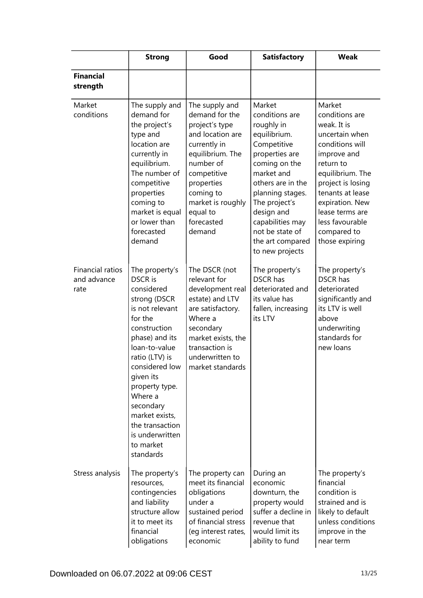|                                         | <b>Strong</b>                                                                                                                                                                                                                                                                                                                 | Good                                                                                                                                                                                                                       | <b>Satisfactory</b>                                                                                                                                                                                                                                                          | <b>Weak</b>                                                                                                                                                                                                                                                     |
|-----------------------------------------|-------------------------------------------------------------------------------------------------------------------------------------------------------------------------------------------------------------------------------------------------------------------------------------------------------------------------------|----------------------------------------------------------------------------------------------------------------------------------------------------------------------------------------------------------------------------|------------------------------------------------------------------------------------------------------------------------------------------------------------------------------------------------------------------------------------------------------------------------------|-----------------------------------------------------------------------------------------------------------------------------------------------------------------------------------------------------------------------------------------------------------------|
| <b>Financial</b><br>strength            |                                                                                                                                                                                                                                                                                                                               |                                                                                                                                                                                                                            |                                                                                                                                                                                                                                                                              |                                                                                                                                                                                                                                                                 |
| Market<br>conditions                    | The supply and<br>demand for<br>the project's<br>type and<br>location are<br>currently in<br>equilibrium.<br>The number of<br>competitive<br>properties<br>coming to<br>market is equal<br>or lower than<br>forecasted<br>demand                                                                                              | The supply and<br>demand for the<br>project's type<br>and location are<br>currently in<br>equilibrium. The<br>number of<br>competitive<br>properties<br>coming to<br>market is roughly<br>equal to<br>forecasted<br>demand | Market<br>conditions are<br>roughly in<br>equilibrium.<br>Competitive<br>properties are<br>coming on the<br>market and<br>others are in the<br>planning stages.<br>The project's<br>design and<br>capabilities may<br>not be state of<br>the art compared<br>to new projects | Market<br>conditions are<br>weak. It is<br>uncertain when<br>conditions will<br>improve and<br>return to<br>equilibrium. The<br>project is losing<br>tenants at lease<br>expiration. New<br>lease terms are<br>less favourable<br>compared to<br>those expiring |
| Financial ratios<br>and advance<br>rate | The property's<br><b>DSCR</b> is<br>considered<br>strong (DSCR<br>is not relevant<br>for the<br>construction<br>phase) and its<br>loan-to-value<br>ratio (LTV) is<br>considered low-<br>given its<br>property type.<br>Where a<br>secondary<br>market exists,<br>the transaction<br>is underwritten<br>to market<br>standards | The DSCR (not<br>relevant for<br>development real<br>estate) and LTV<br>are satisfactory.<br>Where a<br>secondary<br>market exists, the<br>transaction is<br>underwritten to<br>market standards                           | The property's<br><b>DSCR has</b><br>deteriorated and<br>its value has<br>fallen, increasing<br>its LTV                                                                                                                                                                      | The property's<br><b>DSCR</b> has<br>deteriorated<br>significantly and<br>its LTV is well<br>above<br>underwriting<br>standards for<br>new loans                                                                                                                |
| Stress analysis                         | The property's<br>resources,<br>contingencies<br>and liability<br>structure allow<br>it to meet its<br>financial<br>obligations                                                                                                                                                                                               | The property can<br>meet its financial<br>obligations<br>under a<br>sustained period<br>of financial stress<br>(eg interest rates,<br>economic                                                                             | During an<br>economic<br>downturn, the<br>property would<br>suffer a decline in<br>revenue that<br>would limit its<br>ability to fund                                                                                                                                        | The property's<br>financial<br>condition is<br>strained and is<br>likely to default<br>unless conditions<br>improve in the<br>near term                                                                                                                         |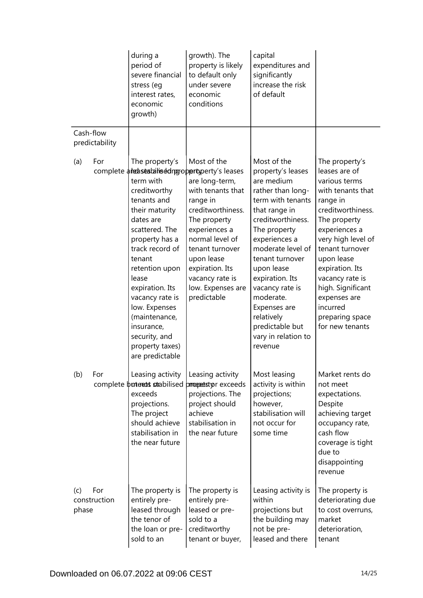|                                     | during a<br>period of<br>severe financial<br>stress (eg<br>interest rates,<br>economic<br>growth)                                                                                                                                                                                                                                  | growth). The<br>property is likely<br>to default only<br>under severe<br>economic<br>conditions                                                                                                                                                                                                    | capital<br>expenditures and<br>significantly<br>increase the risk<br>of default                                                                                                                                                                                                                                                                             |                                                                                                                                                                                                                                                                                                                             |
|-------------------------------------|------------------------------------------------------------------------------------------------------------------------------------------------------------------------------------------------------------------------------------------------------------------------------------------------------------------------------------|----------------------------------------------------------------------------------------------------------------------------------------------------------------------------------------------------------------------------------------------------------------------------------------------------|-------------------------------------------------------------------------------------------------------------------------------------------------------------------------------------------------------------------------------------------------------------------------------------------------------------------------------------------------------------|-----------------------------------------------------------------------------------------------------------------------------------------------------------------------------------------------------------------------------------------------------------------------------------------------------------------------------|
| Cash-flow<br>predictability         |                                                                                                                                                                                                                                                                                                                                    |                                                                                                                                                                                                                                                                                                    |                                                                                                                                                                                                                                                                                                                                                             |                                                                                                                                                                                                                                                                                                                             |
| For<br>(a)                          | The property's<br>term with<br>creditworthy<br>tenants and<br>their maturity<br>dates are<br>scattered. The<br>property has a<br>track record of<br>tenant<br>retention upon<br>lease<br>expiration. Its<br>vacancy rate is<br>low. Expenses<br>(maintenance,<br>insurance,<br>security, and<br>property taxes)<br>are predictable | Most of the<br>complete alreases balanced property s leases<br>are long-term,<br>with tenants that<br>range in<br>creditworthiness.<br>The property<br>experiences a<br>normal level of<br>tenant turnover<br>upon lease<br>expiration. Its<br>vacancy rate is<br>low. Expenses are<br>predictable | Most of the<br>property's leases<br>are medium<br>rather than long-<br>term with tenants<br>that range in<br>creditworthiness.<br>The property<br>experiences a<br>moderate level of<br>tenant turnover<br>upon lease<br>expiration. Its<br>vacancy rate is<br>moderate.<br>Expenses are<br>relatively<br>predictable but<br>vary in relation to<br>revenue | The property's<br>leases are of<br>various terms<br>with tenants that<br>range in<br>creditworthiness.<br>The property<br>experiences a<br>very high level of<br>tenant turnover<br>upon lease<br>expiration. Its<br>vacancy rate is<br>high. Significant<br>expenses are<br>incurred<br>preparing space<br>for new tenants |
| (b)<br>For                          | Leasing activity<br>complete buteros stabilised<br>exceeds<br>projections.<br>The project<br>should achieve<br>stabilisation in<br>the near future                                                                                                                                                                                 | Leasing activity<br>orrougnetstyprexceeds<br>projections. The<br>project should<br>achieve<br>stabilisation in<br>the near future                                                                                                                                                                  | Most leasing<br>activity is within<br>projections;<br>however,<br>stabilisation will<br>not occur for<br>some time                                                                                                                                                                                                                                          | Market rents do<br>not meet<br>expectations.<br>Despite<br>achieving target<br>occupancy rate,<br>cash flow<br>coverage is tight<br>due to<br>disappointing<br>revenue                                                                                                                                                      |
| For<br>(c)<br>construction<br>phase | The property is<br>entirely pre-<br>leased through<br>the tenor of<br>the loan or pre-<br>sold to an                                                                                                                                                                                                                               | The property is<br>entirely pre-<br>leased or pre-<br>sold to a<br>creditworthy<br>tenant or buyer,                                                                                                                                                                                                | Leasing activity is<br>within<br>projections but<br>the building may<br>not be pre-<br>leased and there                                                                                                                                                                                                                                                     | The property is<br>deteriorating due<br>to cost overruns,<br>market<br>deterioration,<br>tenant                                                                                                                                                                                                                             |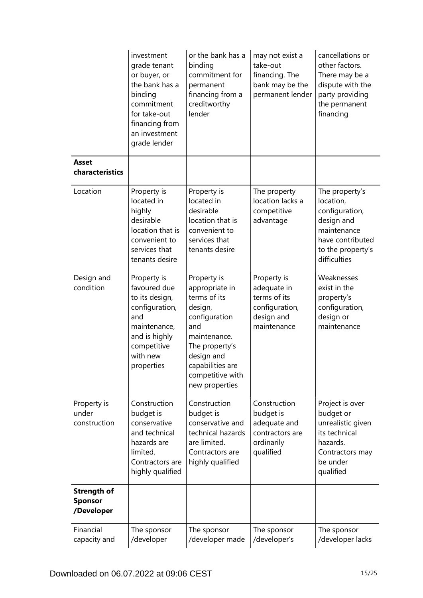|                                                    | investment<br>grade tenant<br>or buyer, or<br>the bank has a<br>binding<br>commitment<br>for take-out<br>financing from<br>an investment<br>grade lender | or the bank has a<br>binding<br>commitment for<br>permanent<br>financing from a<br>creditworthy<br>lender                                                                                  | may not exist a<br>take-out<br>financing. The<br>bank may be the<br>permanent lender      | cancellations or<br>other factors.<br>There may be a<br>dispute with the<br>party providing<br>the permanent<br>financing           |
|----------------------------------------------------|----------------------------------------------------------------------------------------------------------------------------------------------------------|--------------------------------------------------------------------------------------------------------------------------------------------------------------------------------------------|-------------------------------------------------------------------------------------------|-------------------------------------------------------------------------------------------------------------------------------------|
| <b>Asset</b><br>characteristics                    |                                                                                                                                                          |                                                                                                                                                                                            |                                                                                           |                                                                                                                                     |
| Location                                           | Property is<br>located in<br>highly<br>desirable<br>location that is<br>convenient to<br>services that<br>tenants desire                                 | Property is<br>located in<br>desirable<br>location that is<br>convenient to<br>services that<br>tenants desire                                                                             | The property<br>location lacks a<br>competitive<br>advantage                              | The property's<br>location,<br>configuration,<br>design and<br>maintenance<br>have contributed<br>to the property's<br>difficulties |
| Design and<br>condition                            | Property is<br>favoured due<br>to its design,<br>configuration,<br>and<br>maintenance,<br>and is highly<br>competitive<br>with new<br>properties         | Property is<br>appropriate in<br>terms of its<br>design,<br>configuration<br>and<br>maintenance.<br>The property's<br>design and<br>capabilities are<br>competitive with<br>new properties | Property is<br>adequate in<br>terms of its<br>configuration,<br>design and<br>maintenance | Weaknesses<br>exist in the<br>property's<br>configuration,<br>design or<br>maintenance                                              |
| Property is<br>under<br>construction               | Construction<br>budget is<br>conservative<br>and technical<br>hazards are<br>limited.<br>Contractors are<br>highly qualified                             | Construction<br>budget is<br>conservative and<br>technical hazards<br>are limited.<br>Contractors are<br>highly qualified                                                                  | Construction<br>budget is<br>adequate and<br>contractors are<br>ordinarily<br>qualified   | Project is over<br>budget or<br>unrealistic given<br>its technical<br>hazards.<br>Contractors may<br>be under<br>qualified          |
| <b>Strength of</b><br><b>Sponsor</b><br>/Developer |                                                                                                                                                          |                                                                                                                                                                                            |                                                                                           |                                                                                                                                     |
| Financial<br>capacity and                          | The sponsor<br>/developer                                                                                                                                | The sponsor<br>/developer made                                                                                                                                                             | The sponsor<br>/developer's                                                               | The sponsor<br>/developer lacks                                                                                                     |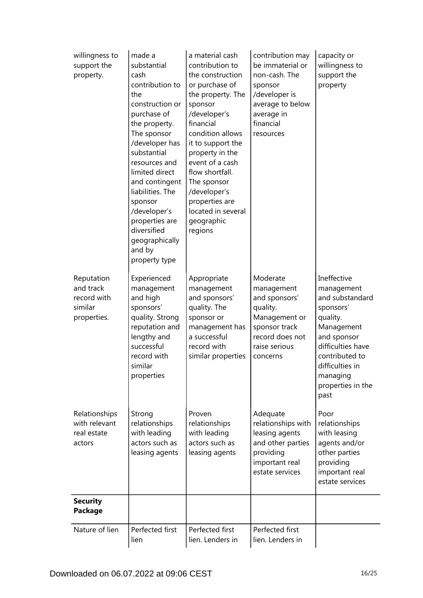| willingness to<br>support the<br>property.                       | made a<br>substantial<br>cash<br>contribution to<br>the<br>construction or<br>purchase of<br>the property.<br>The sponsor<br>/developer has<br>substantial<br>resources and<br>limited direct<br>and contingent<br>liabilities. The<br>sponsor<br>/developer's<br>properties are<br>diversified<br>geographically<br>and by<br>property type | a material cash<br>contribution to<br>the construction<br>or purchase of<br>the property. The<br>sponsor<br>/developer's<br>financial<br>condition allows<br>it to support the<br>property in the<br>event of a cash<br>flow shortfall.<br>The sponsor<br>/developer's<br>properties are<br>located in several<br>geographic<br>regions | contribution may<br>be immaterial or<br>non-cash. The<br>sponsor<br>/developer is<br>average to below<br>average in<br>financial<br>resources | capacity or<br>willingness to<br>support the<br>property                                                                                                                                              |
|------------------------------------------------------------------|----------------------------------------------------------------------------------------------------------------------------------------------------------------------------------------------------------------------------------------------------------------------------------------------------------------------------------------------|-----------------------------------------------------------------------------------------------------------------------------------------------------------------------------------------------------------------------------------------------------------------------------------------------------------------------------------------|-----------------------------------------------------------------------------------------------------------------------------------------------|-------------------------------------------------------------------------------------------------------------------------------------------------------------------------------------------------------|
| Reputation<br>and track<br>record with<br>similar<br>properties. | Experienced<br>management<br>and high<br>sponsors'<br>quality. Strong<br>reputation and<br>lengthy and<br>successful<br>record with<br>similar<br>properties                                                                                                                                                                                 | Appropriate<br>management<br>and sponsors'<br>quality. The<br>sponsor or<br>management has<br>a successful<br>record with<br>similar properties                                                                                                                                                                                         | Moderate<br>management<br>and sponsors'<br>quality.<br>Management or<br>sponsor track<br>record does not<br>raise serious<br>concerns         | Ineffective<br>management<br>and substandard<br>sponsors'<br>quality.<br>Management<br>and sponsor<br>difficulties have<br>contributed to<br>difficulties in<br>managing<br>properties in the<br>past |
| Relationships<br>with relevant<br>real estate<br>actors          | Strong<br>relationships<br>with leading<br>actors such as<br>leasing agents                                                                                                                                                                                                                                                                  | Proven<br>relationships<br>with leading<br>actors such as<br>leasing agents                                                                                                                                                                                                                                                             | Adequate<br>relationships with<br>leasing agents<br>and other parties<br>providing<br>important real<br>estate services                       | Poor<br>relationships<br>with leasing<br>agents and/or<br>other parties<br>providing<br>important real<br>estate services                                                                             |
| <b>Security</b><br><b>Package</b>                                |                                                                                                                                                                                                                                                                                                                                              |                                                                                                                                                                                                                                                                                                                                         |                                                                                                                                               |                                                                                                                                                                                                       |
| Nature of lien                                                   | Perfected first<br>lien                                                                                                                                                                                                                                                                                                                      | Perfected first<br>lien. Lenders in                                                                                                                                                                                                                                                                                                     | Perfected first<br>lien. Lenders in                                                                                                           |                                                                                                                                                                                                       |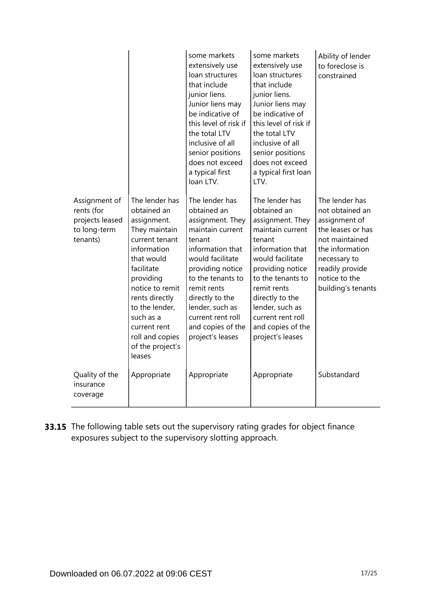|                                                                            |                                                                                                                                                                                                                                                                              | some markets<br>extensively use<br>loan structures<br>that include<br>junior liens.<br>Junior liens may<br>be indicative of<br>this level of risk if<br>the total LTV<br>inclusive of all<br>senior positions<br>does not exceed<br>a typical first<br>loan LTV.                    | some markets<br>extensively use<br>loan structures<br>that include<br>junior liens.<br>Junior liens may<br>be indicative of<br>this level of risk if<br>the total LTV<br>inclusive of all<br>senior positions<br>does not exceed<br>a typical first loan<br>LTV.                    | Ability of lender<br>to foreclose is<br>constrained                                                                                                                                    |
|----------------------------------------------------------------------------|------------------------------------------------------------------------------------------------------------------------------------------------------------------------------------------------------------------------------------------------------------------------------|-------------------------------------------------------------------------------------------------------------------------------------------------------------------------------------------------------------------------------------------------------------------------------------|-------------------------------------------------------------------------------------------------------------------------------------------------------------------------------------------------------------------------------------------------------------------------------------|----------------------------------------------------------------------------------------------------------------------------------------------------------------------------------------|
| Assignment of<br>rents (for<br>projects leased<br>to long-term<br>tenants) | The lender has<br>obtained an<br>assignment.<br>They maintain<br>current tenant<br>information<br>that would<br>facilitate<br>providing<br>notice to remit<br>rents directly<br>to the lender,<br>such as a<br>current rent<br>roll and copies<br>of the project's<br>leases | The lender has<br>obtained an<br>assignment. They<br>maintain current<br>tenant<br>information that<br>would facilitate<br>providing notice<br>to the tenants to<br>remit rents<br>directly to the<br>lender, such as<br>current rent roll<br>and copies of the<br>project's leases | The lender has<br>obtained an<br>assignment. They<br>maintain current<br>tenant<br>information that<br>would facilitate<br>providing notice<br>to the tenants to<br>remit rents<br>directly to the<br>lender, such as<br>current rent roll<br>and copies of the<br>project's leases | The lender has<br>not obtained an<br>assignment of<br>the leases or has<br>not maintained<br>the information<br>necessary to<br>readily provide<br>notice to the<br>building's tenants |
| Quality of the<br>insurance<br>coverage                                    | Appropriate                                                                                                                                                                                                                                                                  | Appropriate                                                                                                                                                                                                                                                                         | Appropriate                                                                                                                                                                                                                                                                         | Substandard                                                                                                                                                                            |

**33.15** The following table sets out the supervisory rating grades for object finance exposures subject to the supervisory slotting approach.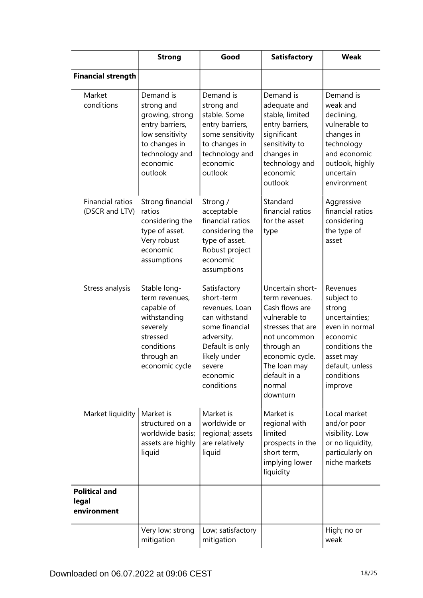|                                              | <b>Strong</b>                                                                                                                              | Good                                                                                                                                                                 | <b>Satisfactory</b>                                                                                                                                                                               | <b>Weak</b>                                                                                                                                                 |
|----------------------------------------------|--------------------------------------------------------------------------------------------------------------------------------------------|----------------------------------------------------------------------------------------------------------------------------------------------------------------------|---------------------------------------------------------------------------------------------------------------------------------------------------------------------------------------------------|-------------------------------------------------------------------------------------------------------------------------------------------------------------|
| <b>Financial strength</b>                    |                                                                                                                                            |                                                                                                                                                                      |                                                                                                                                                                                                   |                                                                                                                                                             |
| Market<br>conditions                         | Demand is<br>strong and<br>growing, strong<br>entry barriers,<br>low sensitivity<br>to changes in<br>technology and<br>economic<br>outlook | Demand is<br>strong and<br>stable. Some<br>entry barriers,<br>some sensitivity<br>to changes in<br>technology and<br>economic<br>outlook                             | Demand is<br>adequate and<br>stable, limited<br>entry barriers,<br>significant<br>sensitivity to<br>changes in<br>technology and<br>economic<br>outlook                                           | Demand is<br>weak and<br>declining,<br>vulnerable to<br>changes in<br>technology<br>and economic<br>outlook, highly<br>uncertain<br>environment             |
| <b>Financial ratios</b><br>(DSCR and LTV)    | Strong financial<br>ratios<br>considering the<br>type of asset.<br>Very robust<br>economic<br>assumptions                                  | Strong/<br>acceptable<br>financial ratios<br>considering the<br>type of asset.<br>Robust project<br>economic<br>assumptions                                          | Standard<br>financial ratios<br>for the asset<br>type                                                                                                                                             | Aggressive<br>financial ratios<br>considering<br>the type of<br>asset                                                                                       |
| Stress analysis                              | Stable long-<br>term revenues,<br>capable of<br>withstanding<br>severely<br>stressed<br>conditions<br>through an<br>economic cycle         | Satisfactory<br>short-term<br>revenues. Loan<br>can withstand<br>some financial<br>adversity.<br>Default is only<br>likely under<br>severe<br>economic<br>conditions | Uncertain short-<br>term revenues.<br>Cash flows are<br>vulnerable to<br>stresses that are<br>not uncommon<br>through an<br>economic cycle.<br>The loan may<br>default in a<br>normal<br>downturn | Revenues<br>subject to<br>strong<br>uncertainties;<br>even in normal<br>economic<br>conditions the<br>asset may<br>default, unless<br>conditions<br>improve |
| Market liquidity                             | Market is<br>structured on a<br>worldwide basis;<br>assets are highly<br>liquid                                                            | Market is<br>worldwide or<br>regional; assets<br>are relatively<br>liquid                                                                                            | Market is<br>regional with<br>limited<br>prospects in the<br>short term,<br>implying lower<br>liquidity                                                                                           | Local market<br>and/or poor<br>visibility. Low<br>or no liquidity,<br>particularly on<br>niche markets                                                      |
| <b>Political and</b><br>legal<br>environment |                                                                                                                                            |                                                                                                                                                                      |                                                                                                                                                                                                   |                                                                                                                                                             |
|                                              | Very low; strong<br>mitigation                                                                                                             | Low; satisfactory<br>mitigation                                                                                                                                      |                                                                                                                                                                                                   | High; no or<br>weak                                                                                                                                         |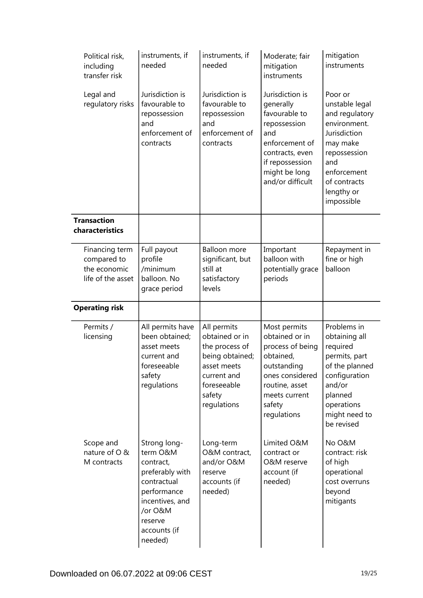| including<br>transfer risk                                         | instruments, if<br>needed                                                              | instruments, if<br>needed                                                                                                                | Moderate; fair<br>mitigation<br>instruments                                                                                                                       | mitigation<br>instruments                                                                                                                                                 |
|--------------------------------------------------------------------|----------------------------------------------------------------------------------------|------------------------------------------------------------------------------------------------------------------------------------------|-------------------------------------------------------------------------------------------------------------------------------------------------------------------|---------------------------------------------------------------------------------------------------------------------------------------------------------------------------|
| Legal and<br>regulatory risks                                      | Jurisdiction is<br>favourable to<br>repossession<br>and<br>enforcement of<br>contracts | Jurisdiction is<br>favourable to<br>repossession<br>and<br>enforcement of<br>contracts                                                   | Jurisdiction is<br>generally<br>favourable to<br>repossession<br>and<br>enforcement of<br>contracts, even<br>if repossession<br>might be long<br>and/or difficult | Poor or<br>unstable legal<br>and regulatory<br>environment.<br>Jurisdiction<br>may make<br>repossession<br>and<br>enforcement<br>of contracts<br>lengthy or<br>impossible |
| <b>Transaction</b><br>characteristics                              |                                                                                        |                                                                                                                                          |                                                                                                                                                                   |                                                                                                                                                                           |
| Financing term<br>compared to<br>the economic<br>life of the asset | Full payout<br>profile<br>/minimum<br>balloon. No<br>grace period                      | <b>Balloon</b> more<br>significant, but<br>still at<br>satisfactory<br>levels                                                            | Important<br>balloon with<br>potentially grace<br>periods                                                                                                         | Repayment in<br>fine or high<br>balloon                                                                                                                                   |
| <b>Operating risk</b>                                              |                                                                                        |                                                                                                                                          |                                                                                                                                                                   |                                                                                                                                                                           |
| Permits /                                                          | All permits have                                                                       |                                                                                                                                          |                                                                                                                                                                   |                                                                                                                                                                           |
| licensing                                                          | been obtained;<br>asset meets<br>current and<br>foreseeable<br>safety<br>regulations   | All permits<br>obtained or in<br>the process of<br>being obtained;<br>asset meets<br>current and<br>foreseeable<br>safety<br>regulations | Most permits<br>obtained or in<br>process of being<br>obtained,<br>outstanding<br>ones considered<br>routine, asset<br>meets current<br>safety<br>regulations     | Problems in<br>obtaining all<br>required<br>permits, part<br>of the planned<br>configuration<br>and/or<br>planned<br>operations<br>might need to<br>be revised            |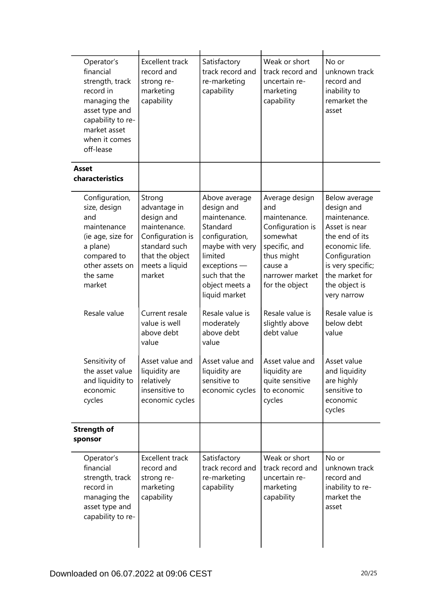| Operator's<br>financial<br>strength, track<br>record in<br>managing the<br>asset type and<br>capability to re-<br>market asset<br>when it comes<br>off-lease | <b>Excellent track</b><br>record and<br>strong re-<br>marketing<br>capability                                                            | Satisfactory<br>track record and<br>re-marketing<br>capability                                                                                                            | Weak or short<br>track record and<br>uncertain re-<br>marketing<br>capability                                                                        | No or<br>unknown track<br>record and<br>inability to<br>remarket the<br>asset                                                                                                            |
|--------------------------------------------------------------------------------------------------------------------------------------------------------------|------------------------------------------------------------------------------------------------------------------------------------------|---------------------------------------------------------------------------------------------------------------------------------------------------------------------------|------------------------------------------------------------------------------------------------------------------------------------------------------|------------------------------------------------------------------------------------------------------------------------------------------------------------------------------------------|
| <b>Asset</b><br>characteristics                                                                                                                              |                                                                                                                                          |                                                                                                                                                                           |                                                                                                                                                      |                                                                                                                                                                                          |
| Configuration,<br>size, design<br>and<br>maintenance<br>(ie age, size for<br>a plane)<br>compared to<br>other assets on<br>the same<br>market                | Strong<br>advantage in<br>design and<br>maintenance.<br>Configuration is<br>standard such<br>that the object<br>meets a liquid<br>market | Above average<br>design and<br>maintenance.<br>Standard<br>configuration,<br>maybe with very<br>limited<br>exceptions<br>such that the<br>object meets a<br>liquid market | Average design<br>and<br>maintenance.<br>Configuration is<br>somewhat<br>specific, and<br>thus might<br>cause a<br>narrower market<br>for the object | Below average<br>design and<br>maintenance.<br>Asset is near<br>the end of its<br>economic life.<br>Configuration<br>is very specific;<br>the market for<br>the object is<br>very narrow |
| Resale value                                                                                                                                                 | Current resale<br>value is well<br>above debt<br>value                                                                                   | Resale value is<br>moderately<br>above debt<br>value                                                                                                                      | Resale value is<br>slightly above<br>debt value                                                                                                      | Resale value is<br>below debt<br>value                                                                                                                                                   |
| Sensitivity of<br>the asset value<br>and liquidity to<br>economic<br>cycles                                                                                  | Asset value and<br>liquidity are<br>relatively<br>insensitive to<br>economic cycles                                                      | Asset value and<br>liquidity are<br>sensitive to<br>economic cycles                                                                                                       | Asset value and<br>liquidity are<br>quite sensitive<br>to economic<br>cycles                                                                         | Asset value<br>and liquidity<br>are highly<br>sensitive to<br>economic<br>cycles                                                                                                         |
| <b>Strength of</b><br>sponsor                                                                                                                                |                                                                                                                                          |                                                                                                                                                                           |                                                                                                                                                      |                                                                                                                                                                                          |
| Operator's<br>financial<br>strength, track<br>record in<br>managing the<br>asset type and<br>capability to re-                                               | <b>Excellent track</b><br>record and<br>strong re-<br>marketing<br>capability                                                            | Satisfactory<br>track record and<br>re-marketing<br>capability                                                                                                            | Weak or short<br>track record and<br>uncertain re-<br>marketing<br>capability                                                                        | No or<br>unknown track<br>record and<br>inability to re-<br>market the<br>asset                                                                                                          |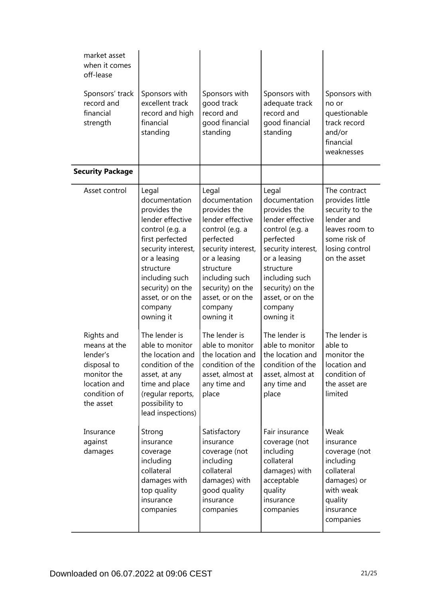| market asset<br>when it comes<br>off-lease<br>Sponsors' track<br>record and<br>financial<br>strength              | Sponsors with<br>excellent track<br>record and high<br>financial<br>standing                                                                                                                                                          | Sponsors with<br>good track<br>record and<br>good financial<br>standing                                                                                                                                                         | Sponsors with<br>adequate track<br>record and<br>good financial<br>standing                                                                                                                                                     | Sponsors with<br>no or<br>questionable<br>track record<br>and/or<br>financial<br>weaknesses                                          |
|-------------------------------------------------------------------------------------------------------------------|---------------------------------------------------------------------------------------------------------------------------------------------------------------------------------------------------------------------------------------|---------------------------------------------------------------------------------------------------------------------------------------------------------------------------------------------------------------------------------|---------------------------------------------------------------------------------------------------------------------------------------------------------------------------------------------------------------------------------|--------------------------------------------------------------------------------------------------------------------------------------|
| <b>Security Package</b>                                                                                           |                                                                                                                                                                                                                                       |                                                                                                                                                                                                                                 |                                                                                                                                                                                                                                 |                                                                                                                                      |
| Asset control                                                                                                     | Legal<br>documentation<br>provides the<br>lender effective<br>control (e.g. a<br>first perfected<br>security interest,<br>or a leasing<br>structure<br>including such<br>security) on the<br>asset, or on the<br>company<br>owning it | Legal<br>documentation<br>provides the<br>lender effective<br>control (e.g. a<br>perfected<br>security interest,<br>or a leasing<br>structure<br>including such<br>security) on the<br>asset, or on the<br>company<br>owning it | Legal<br>documentation<br>provides the<br>lender effective<br>control (e.g. a<br>perfected<br>security interest,<br>or a leasing<br>structure<br>including such<br>security) on the<br>asset, or on the<br>company<br>owning it | The contract<br>provides little<br>security to the<br>lender and<br>leaves room to<br>some risk of<br>losing control<br>on the asset |
| Rights and<br>means at the<br>lender's<br>disposal to<br>monitor the<br>location and<br>condition of<br>the asset | The lender is<br>able to monitor<br>the location and<br>condition of the<br>asset, at any<br>time and place<br>(regular reports,<br>possibility to<br>lead inspections)                                                               | The lender is<br>able to monitor<br>the location and<br>condition of the<br>asset, almost at<br>any time and<br>place                                                                                                           | The lender is<br>able to monitor<br>the location and<br>condition of the<br>asset, almost at<br>any time and<br>place                                                                                                           | The lender is<br>able to<br>monitor the<br>location and<br>condition of<br>the asset are<br>limited                                  |
| Insurance<br>against<br>damages                                                                                   | Strong<br>insurance<br>coverage<br>including<br>collateral<br>damages with<br>top quality<br>insurance<br>companies                                                                                                                   | Satisfactory<br>insurance<br>coverage (not<br>including<br>collateral<br>damages) with<br>good quality<br>insurance<br>companies                                                                                                | Fair insurance<br>coverage (not<br>including<br>collateral<br>damages) with<br>acceptable<br>quality<br>insurance<br>companies                                                                                                  | Weak<br>insurance<br>coverage (not<br>including<br>collateral<br>damages) or<br>with weak<br>quality<br>insurance<br>companies       |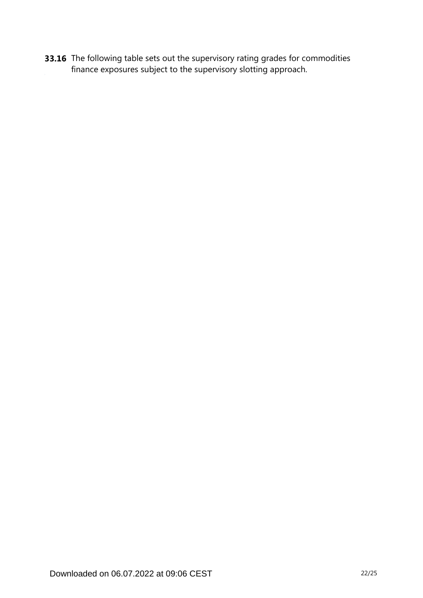**33.16** The following table sets out the supervisory rating grades for commodities finance exposures subject to the supervisory slotting approach.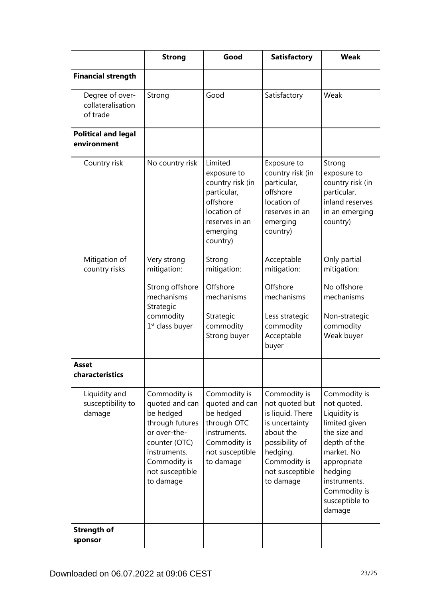|                                                  | <b>Strong</b>                                                                                                                                                   | Good                                                                                                                           | <b>Satisfactory</b>                                                                                                                                             | <b>Weak</b>                                                                                                                                                                                      |
|--------------------------------------------------|-----------------------------------------------------------------------------------------------------------------------------------------------------------------|--------------------------------------------------------------------------------------------------------------------------------|-----------------------------------------------------------------------------------------------------------------------------------------------------------------|--------------------------------------------------------------------------------------------------------------------------------------------------------------------------------------------------|
| <b>Financial strength</b>                        |                                                                                                                                                                 |                                                                                                                                |                                                                                                                                                                 |                                                                                                                                                                                                  |
| Degree of over-<br>collateralisation<br>of trade | Strong                                                                                                                                                          | Good                                                                                                                           | Satisfactory                                                                                                                                                    | Weak                                                                                                                                                                                             |
| <b>Political and legal</b><br>environment        |                                                                                                                                                                 |                                                                                                                                |                                                                                                                                                                 |                                                                                                                                                                                                  |
| Country risk                                     | No country risk                                                                                                                                                 | Limited<br>exposure to<br>country risk (in<br>particular,<br>offshore<br>location of<br>reserves in an<br>emerging<br>country) | Exposure to<br>country risk (in<br>particular,<br>offshore<br>location of<br>reserves in an<br>emerging<br>country)                                             | Strong<br>exposure to<br>country risk (in<br>particular,<br>inland reserves<br>in an emerging<br>country)                                                                                        |
| Mitigation of<br>country risks                   | Very strong<br>mitigation:                                                                                                                                      | Strong<br>mitigation:                                                                                                          | Acceptable<br>mitigation:                                                                                                                                       | Only partial<br>mitigation:                                                                                                                                                                      |
|                                                  | Strong offshore<br>mechanisms<br>Strategic<br>commodity<br>1 <sup>st</sup> class buyer                                                                          | Offshore<br>mechanisms<br>Strategic<br>commodity<br>Strong buyer                                                               | Offshore<br>mechanisms<br>Less strategic<br>commodity<br>Acceptable<br>buyer                                                                                    | No offshore<br>mechanisms<br>Non-strategic<br>commodity<br>Weak buyer                                                                                                                            |
| <b>Asset</b><br>characteristics                  |                                                                                                                                                                 |                                                                                                                                |                                                                                                                                                                 |                                                                                                                                                                                                  |
| Liquidity and<br>susceptibility to<br>damage     | Commodity is<br>quoted and can<br>be hedged<br>through futures<br>or over-the-<br>counter (OTC)<br>instruments.<br>Commodity is<br>not susceptible<br>to damage | Commodity is<br>quoted and can<br>be hedged<br>through OTC<br>instruments.<br>Commodity is<br>not susceptible<br>to damage     | Commodity is<br>not quoted but<br>is liquid. There<br>is uncertainty<br>about the<br>possibility of<br>hedging.<br>Commodity is<br>not susceptible<br>to damage | Commodity is<br>not quoted.<br>Liquidity is<br>limited given<br>the size and<br>depth of the<br>market. No<br>appropriate<br>hedging<br>instruments.<br>Commodity is<br>susceptible to<br>damage |
| <b>Strength of</b><br>sponsor                    |                                                                                                                                                                 |                                                                                                                                |                                                                                                                                                                 |                                                                                                                                                                                                  |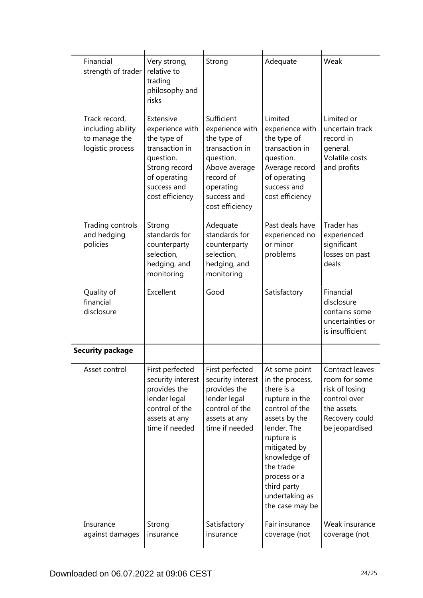| Financial<br>strength of trader                                         | Very strong,<br>relative to<br>trading<br>philosophy and<br>risks                                                                             | Strong                                                                                                                                                   | Adequate                                                                                                                                                                                                                                          | Weak                                                                                                                  |
|-------------------------------------------------------------------------|-----------------------------------------------------------------------------------------------------------------------------------------------|----------------------------------------------------------------------------------------------------------------------------------------------------------|---------------------------------------------------------------------------------------------------------------------------------------------------------------------------------------------------------------------------------------------------|-----------------------------------------------------------------------------------------------------------------------|
| Track record,<br>including ability<br>to manage the<br>logistic process | Extensive<br>experience with<br>the type of<br>transaction in<br>question.<br>Strong record<br>of operating<br>success and<br>cost efficiency | Sufficient<br>experience with<br>the type of<br>transaction in<br>question.<br>Above average<br>record of<br>operating<br>success and<br>cost efficiency | Limited<br>experience with<br>the type of<br>transaction in<br>question.<br>Average record<br>of operating<br>success and<br>cost efficiency                                                                                                      | Limited or<br>uncertain track<br>record in<br>general.<br>Volatile costs<br>and profits                               |
| Trading controls<br>and hedging<br>policies                             | Strong<br>standards for<br>counterparty<br>selection,<br>hedging, and<br>monitoring                                                           | Adequate<br>standards for<br>counterparty<br>selection,<br>hedging, and<br>monitoring                                                                    | Past deals have<br>experienced no<br>or minor<br>problems                                                                                                                                                                                         | Trader has<br>experienced<br>significant<br>losses on past<br>deals                                                   |
| Quality of<br>financial<br>disclosure                                   | Excellent                                                                                                                                     | Good                                                                                                                                                     | Satisfactory                                                                                                                                                                                                                                      | Financial<br>disclosure<br>contains some<br>uncertainties or<br>is insufficient                                       |
| <b>Security package</b>                                                 |                                                                                                                                               |                                                                                                                                                          |                                                                                                                                                                                                                                                   |                                                                                                                       |
| Asset control                                                           | First perfected<br>security interest<br>provides the<br>lender legal<br>control of the<br>assets at any<br>time if needed                     | First perfected<br>security interest<br>provides the<br>lender legal<br>control of the<br>assets at any<br>time if needed                                | At some point<br>in the process,<br>there is a<br>rupture in the<br>control of the<br>assets by the<br>lender. The<br>rupture is<br>mitigated by<br>knowledge of<br>the trade<br>process or a<br>third party<br>undertaking as<br>the case may be | Contract leaves<br>room for some<br>risk of losing<br>control over<br>the assets.<br>Recovery could<br>be jeopardised |
| Insurance<br>against damages                                            | Strong<br>insurance                                                                                                                           | Satisfactory<br>insurance                                                                                                                                | Fair insurance<br>coverage (not                                                                                                                                                                                                                   | Weak insurance<br>coverage (not                                                                                       |